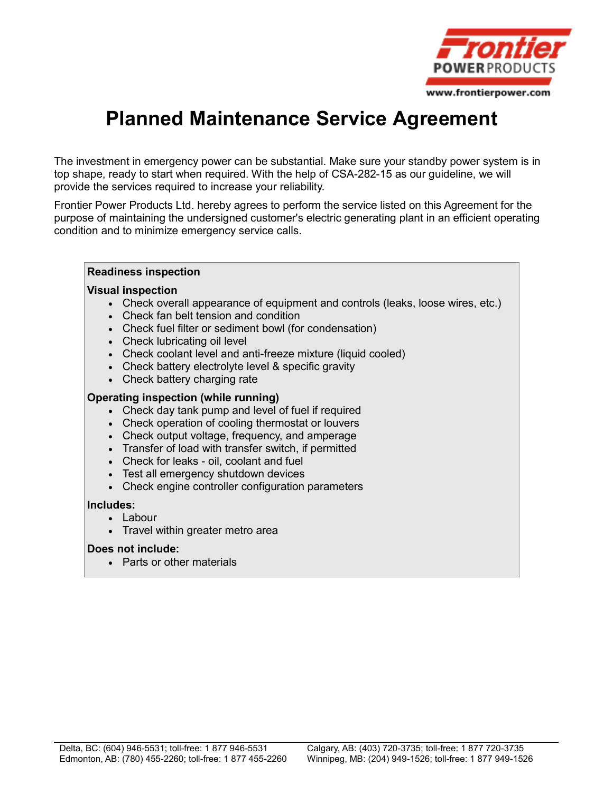

# **Planned Maintenance Service Agreement**

The investment in emergency power can be substantial. Make sure your standby power system is in top shape, ready to start when required. With the help of CSA-282-15 as our guideline, we will provide the services required to increase your reliability.

Frontier Power Products Ltd. hereby agrees to perform the service listed on this Agreement for the purpose of maintaining the undersigned customer's electric generating plant in an efficient operating condition and to minimize emergency service calls.

#### **Readiness inspection**

#### **Visual inspection**

- Check overall appearance of equipment and controls (leaks, loose wires, etc.)
- Check fan belt tension and condition
- Check fuel filter or sediment bowl (for condensation)
- Check lubricating oil level
- Check coolant level and anti-freeze mixture (liquid cooled)
- Check battery electrolyte level & specific gravity
- Check battery charging rate

#### **Operating inspection (while running)**

- Check day tank pump and level of fuel if required
- Check operation of cooling thermostat or louvers
- Check output voltage, frequency, and amperage
- Transfer of load with transfer switch, if permitted
- Check for leaks oil, coolant and fuel
- Test all emergency shutdown devices
- Check engine controller configuration parameters

#### **Includes:**

- Labour
- Travel within greater metro area

#### **Does not include:**

Parts or other materials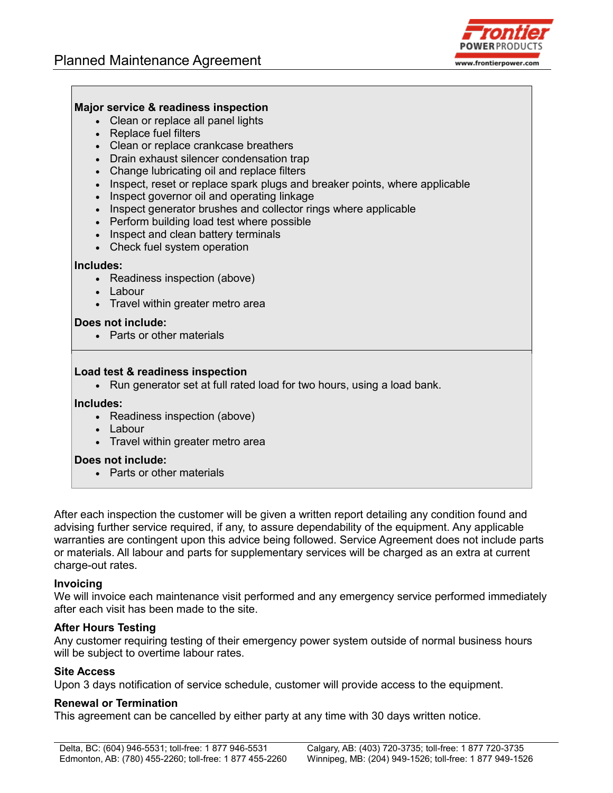

## **Major service & readiness inspection**

- Clean or replace all panel lights
- Replace fuel filters
- Clean or replace crankcase breathers
- Drain exhaust silencer condensation trap
- Change lubricating oil and replace filters
- Inspect, reset or replace spark plugs and breaker points, where applicable
- Inspect governor oil and operating linkage
- Inspect generator brushes and collector rings where applicable
- Perform building load test where possible
- Inspect and clean battery terminals
- Check fuel system operation

#### **Includes:**

- Readiness inspection (above)
- Labour
- Travel within greater metro area

#### **Does not include:**

Parts or other materials

#### **Load test & readiness inspection**

• Run generator set at full rated load for two hours, using a load bank.

#### **Includes:**

- Readiness inspection (above)
- Labour
- Travel within greater metro area

#### **Does not include:**

• Parts or other materials

After each inspection the customer will be given a written report detailing any condition found and advising further service required, if any, to assure dependability of the equipment. Any applicable warranties are contingent upon this advice being followed. Service Agreement does not include parts or materials. All labour and parts for supplementary services will be charged as an extra at current charge-out rates.

#### **Invoicing**

We will invoice each maintenance visit performed and any emergency service performed immediately after each visit has been made to the site.

### **After Hours Testing**

Any customer requiring testing of their emergency power system outside of normal business hours will be subject to overtime labour rates.

#### **Site Access**

Upon 3 days notification of service schedule, customer will provide access to the equipment.

#### **Renewal or Termination**

This agreement can be cancelled by either party at any time with 30 days written notice.